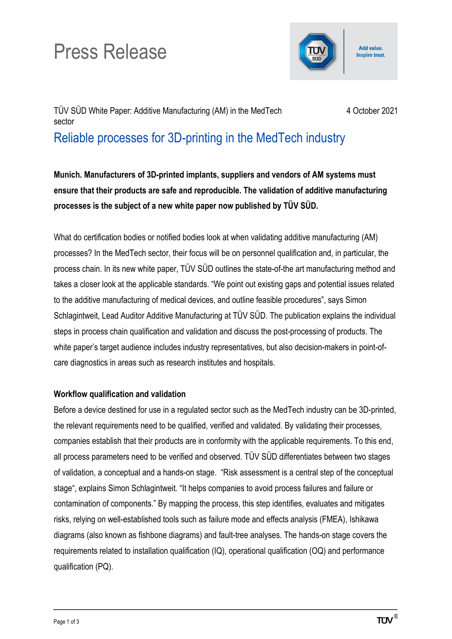# Press Release



Add value. **Inspire trust.** 

#### TÜV SÜD White Paper: Additive Manufacturing (AM) in the MedTech sector 4 October 2021

## Reliable processes for 3D-printing in the MedTech industry

**Munich. Manufacturers of 3D-printed implants, suppliers and vendors of AM systems must ensure that their products are safe and reproducible. The validation of additive manufacturing processes is the subject of a new white paper now published by TÜV SÜD.**

What do certification bodies or notified bodies look at when validating additive manufacturing (AM) processes? In the MedTech sector, their focus will be on personnel qualification and, in particular, the process chain. In its new white paper, TÜV SÜD outlines the state-of-the art manufacturing method and takes a closer look at the applicable standards. "We point out existing gaps and potential issues related to the additive manufacturing of medical devices, and outline feasible procedures", says Simon Schlagintweit, Lead Auditor Additive Manufacturing at TÜV SÜD. The publication explains the individual steps in process chain qualification and validation and discuss the post-processing of products. The white paper's target audience includes industry representatives, but also decision-makers in point-ofcare diagnostics in areas such as research institutes and hospitals.

#### **Workflow qualification and validation**

Before a device destined for use in a regulated sector such as the MedTech industry can be 3D-printed, the relevant requirements need to be qualified, verified and validated. By validating their processes, companies establish that their products are in conformity with the applicable requirements. To this end, all process parameters need to be verified and observed. TÜV SÜD differentiates between two stages of validation, a conceptual and a hands-on stage. "Risk assessment is a central step of the conceptual stage", explains Simon Schlagintweit. "It helps companies to avoid process failures and failure or contamination of components." By mapping the process, this step identifies, evaluates and mitigates risks, relying on well-established tools such as failure mode and effects analysis (FMEA), Ishikawa diagrams (also known as fishbone diagrams) and fault-tree analyses. The hands-on stage covers the requirements related to installation qualification (IQ), operational qualification (OQ) and performance qualification (PQ).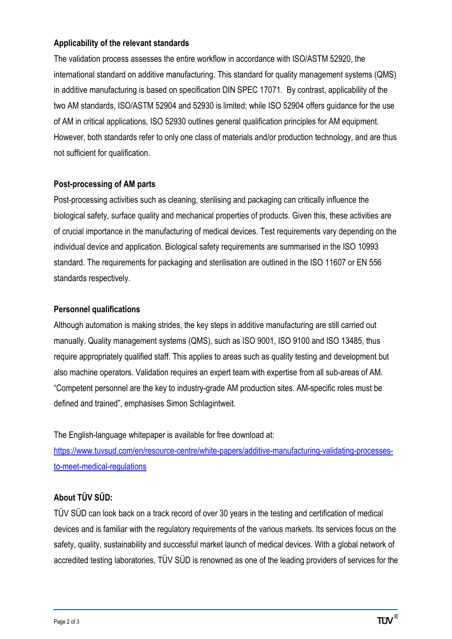#### **Applicability of the relevant standards**

The validation process assesses the entire workflow in accordance with ISO/ASTM 52920, the international standard on additive manufacturing. This standard for quality management systems (QMS) in additive manufacturing is based on specification DIN SPEC 17071. By contrast, applicability of the two AM standards, ISO/ASTM 52904 and 52930 is limited; while ISO 52904 offers guidance for the use of AM in critical applications, ISO 52930 outlines general qualification principles for AM equipment. However, both standards refer to only one class of materials and/or production technology, and are thus not sufficient for qualification.

#### **Post-processing of AM parts**

Post-processing activities such as cleaning, sterilising and packaging can critically influence the biological safety, surface quality and mechanical properties of products. Given this, these activities are of crucial importance in the manufacturing of medical devices. Test requirements vary depending on the individual device and application. Biological safety requirements are summarised in the ISO 10993 standard. The requirements for packaging and sterilisation are outlined in the ISO 11607 or EN 556 standards respectively.

#### **Personnel qualifications**

Although automation is making strides, the key steps in additive manufacturing are still carried out manually. Quality management systems (QMS), such as ISO 9001, ISO 9100 and ISO 13485, thus require appropriately qualified staff. This applies to areas such as quality testing and development but also machine operators. Validation requires an expert team with expertise from all sub-areas of AM. "Competent personnel are the key to industry-grade AM production sites. AM-specific roles must be defined and trained", emphasises Simon Schlagintweit.

The English-language whitepaper is available for free download at:

[https://www.tuvsud.com/en/resource-centre/white-papers/additive-manufacturing-validating-processes](https://www.tuvsud.com/en/resource-centre/white-papers/additive-manufacturing-validating-processes-to-meet-medical-regulations)[to-meet-medical-regulations](https://www.tuvsud.com/en/resource-centre/white-papers/additive-manufacturing-validating-processes-to-meet-medical-regulations)

### **About TÜV SÜD:**

TÜV SÜD can look back on a track record of over 30 years in the testing and certification of medical devices and is familiar with the regulatory requirements of the various markets. Its services focus on the safety, quality, sustainability and successful market launch of medical devices. With a global network of accredited testing laboratories, TÜV SÜD is renowned as one of the leading providers of services for the